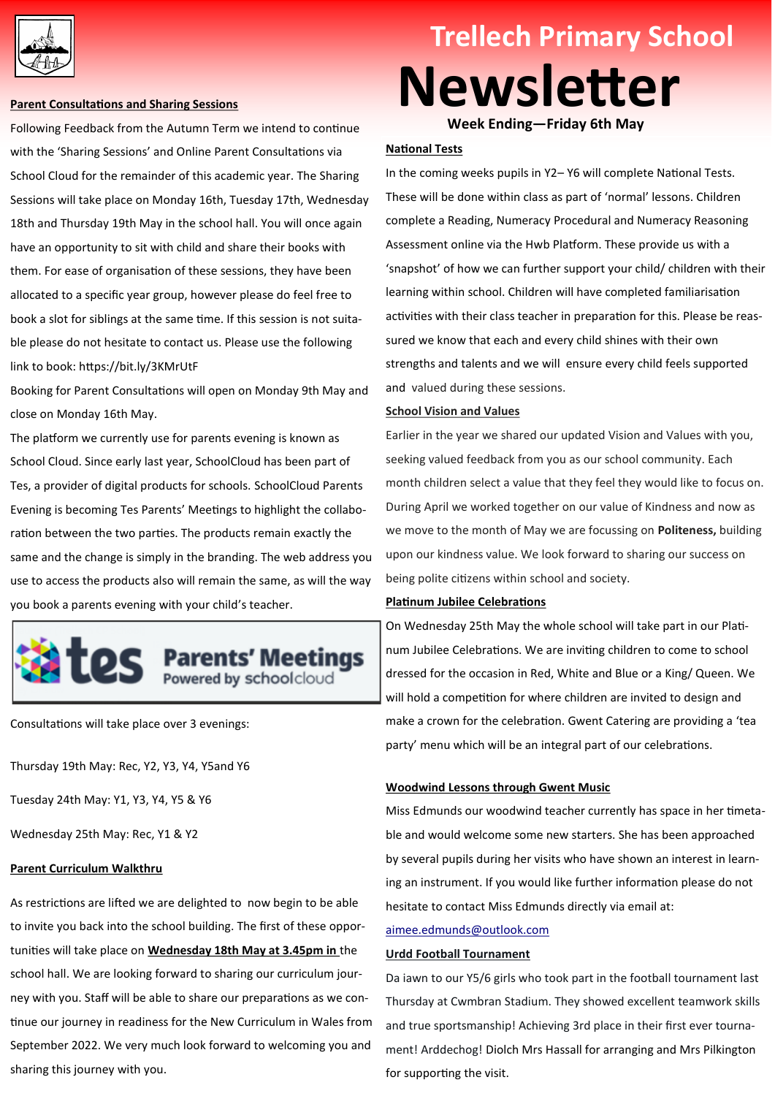

#### **Parent Consultations and Sharing Sessions**

Following Feedback from the Autumn Term we intend to continue with the 'Sharing Sessions' and Online Parent Consultations via School Cloud for the remainder of this academic year. The Sharing Sessions will take place on Monday 16th, Tuesday 17th, Wednesday 18th and Thursday 19th May in the school hall. You will once again have an opportunity to sit with child and share their books with them. For ease of organisation of these sessions, they have been allocated to a specific year group, however please do feel free to book a slot for siblings at the same time. If this session is not suitable please do not hesitate to contact us. Please use the following link to book: https://bit.ly/3KMrUtF

Booking for Parent Consultations will open on Monday 9th May and close on Monday 16th May.

The platform we currently use for parents evening is known as School Cloud. Since early last year, SchoolCloud has been part of Tes, a provider of digital products for schools. SchoolCloud Parents Evening is becoming Tes Parents' Meetings to highlight the collaboration between the two parties. The products remain exactly the same and the change is simply in the branding. The web address you use to access the products also will remain the same, as will the way you book a parents evening with your child's teacher.



Consultations will take place over 3 evenings:

Thursday 19th May: Rec, Y2, Y3, Y4, Y5and Y6

Tuesday 24th May: Y1, Y3, Y4, Y5 & Y6

Wednesday 25th May: Rec, Y1 & Y2

## **Parent Curriculum Walkthru**

As restrictions are lifted we are delighted to now begin to be able to invite you back into the school building. The first of these opportunities will take place on **Wednesday 18th May at 3.45pm in** the school hall. We are looking forward to sharing our curriculum journey with you. Staff will be able to share our preparations as we continue our journey in readiness for the New Curriculum in Wales from September 2022. We very much look forward to welcoming you and sharing this journey with you.

# **Trellech Primary School Newsletter**

**Week Ending—Friday 6th May** 

# **National Tests**

In the coming weeks pupils in Y2– Y6 will complete National Tests. These will be done within class as part of 'normal' lessons. Children complete a Reading, Numeracy Procedural and Numeracy Reasoning Assessment online via the Hwb Platform. These provide us with a 'snapshot' of how we can further support your child/ children with their learning within school. Children will have completed familiarisation activities with their class teacher in preparation for this. Please be reassured we know that each and every child shines with their own strengths and talents and we will ensure every child feels supported and valued during these sessions.

#### **School Vision and Values**

Earlier in the year we shared our updated Vision and Values with you, seeking valued feedback from you as our school community. Each month children select a value that they feel they would like to focus on. During April we worked together on our value of Kindness and now as we move to the month of May we are focussing on **Politeness,** building upon our kindness value. We look forward to sharing our success on being polite citizens within school and society.

## **Platinum Jubilee Celebrations**

On Wednesday 25th May the whole school will take part in our Platinum Jubilee Celebrations. We are inviting children to come to school dressed for the occasion in Red, White and Blue or a King/ Queen. We will hold a competition for where children are invited to design and make a crown for the celebration. Gwent Catering are providing a 'tea party' menu which will be an integral part of our celebrations.

#### **Woodwind Lessons through Gwent Music**

Miss Edmunds our woodwind teacher currently has space in her timetable and would welcome some new starters. She has been approached by several pupils during her visits who have shown an interest in learning an instrument. If you would like further information please do not hesitate to contact Miss Edmunds directly via email at:

# [aimee.edmunds@outlook.com](mailto:aimee.edmunds@outlook.com)

## **Urdd Football Tournament**

Da iawn to our Y5/6 girls who took part in the football tournament last Thursday at Cwmbran Stadium. They showed excellent teamwork skills and true sportsmanship! Achieving 3rd place in their first ever tournament! Arddechog! Diolch Mrs Hassall for arranging and Mrs Pilkington for supporting the visit.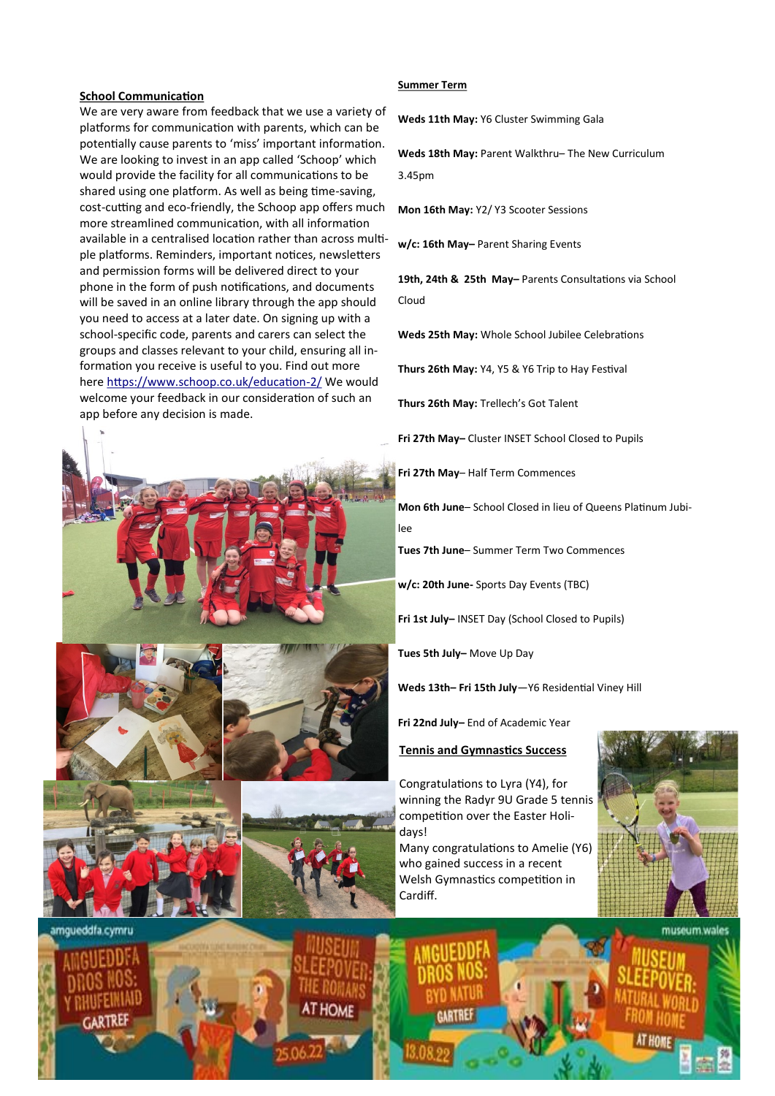#### **School Communication**

We are very aware from feedback that we use a variety of platforms for communication with parents, which can be potentially cause parents to 'miss' important information. We are looking to invest in an app called 'Schoop' which would provide the facility for all communications to be shared using one platform. As well as being time-saving, cost-cutting and eco-friendly, the Schoop app offers much more streamlined communication, with all information available in a centralised location rather than across multiple platforms. Reminders, important notices, newsletters and permission forms will be delivered direct to your phone in the form of push notifications, and documents will be saved in an online library through the app should you need to access at a later date. On signing up with a school-specific code, parents and carers can select the groups and classes relevant to your child, ensuring all information you receive is useful to you. Find out more here [https://www.schoop.co.uk/education](https://www.schoop.co.uk/education-2/)-2/ We would welcome your feedback in our consideration of such an app before any decision is made.







#### **Summer Term**

**Weds 11th May:** Y6 Cluster Swimming Gala

**Weds 18th May:** Parent Walkthru– The New Curriculum 3.45pm

**Mon 16th May:** Y2/ Y3 Scooter Sessions

**w/c: 16th May–** Parent Sharing Events

**19th, 24th & 25th May–** Parents Consultations via School Cloud

**Weds 25th May:** Whole School Jubilee Celebrations

**Thurs 26th May:** Y4, Y5 & Y6 Trip to Hay Festival

**Thurs 26th May:** Trellech's Got Talent

**Fri 27th May–** Cluster INSET School Closed to Pupils

**Fri 27th May**– Half Term Commences

**Mon 6th June**– School Closed in lieu of Queens Platinum Jubilee

**Tues 7th June**– Summer Term Two Commences

**w/c: 20th June-** Sports Day Events (TBC)

**Fri 1st July–** INSET Day (School Closed to Pupils)

**Tues 5th July–** Move Up Day

**Weds 13th– Fri 15th July**—Y6 Residential Viney Hill

**Fri 22nd July–** End of Academic Year

#### **Tennis and Gymnastics Success**

Congratulations to Lyra (Y4), for winning the Radyr 9U Grade 5 tennis competition over the Easter Holidays!

Many congratulations to Amelie (Y6) who gained success in a recent Welsh Gymnastics competition in Cardiff.



museum.wales

amqueddfa.cymru





ARTREF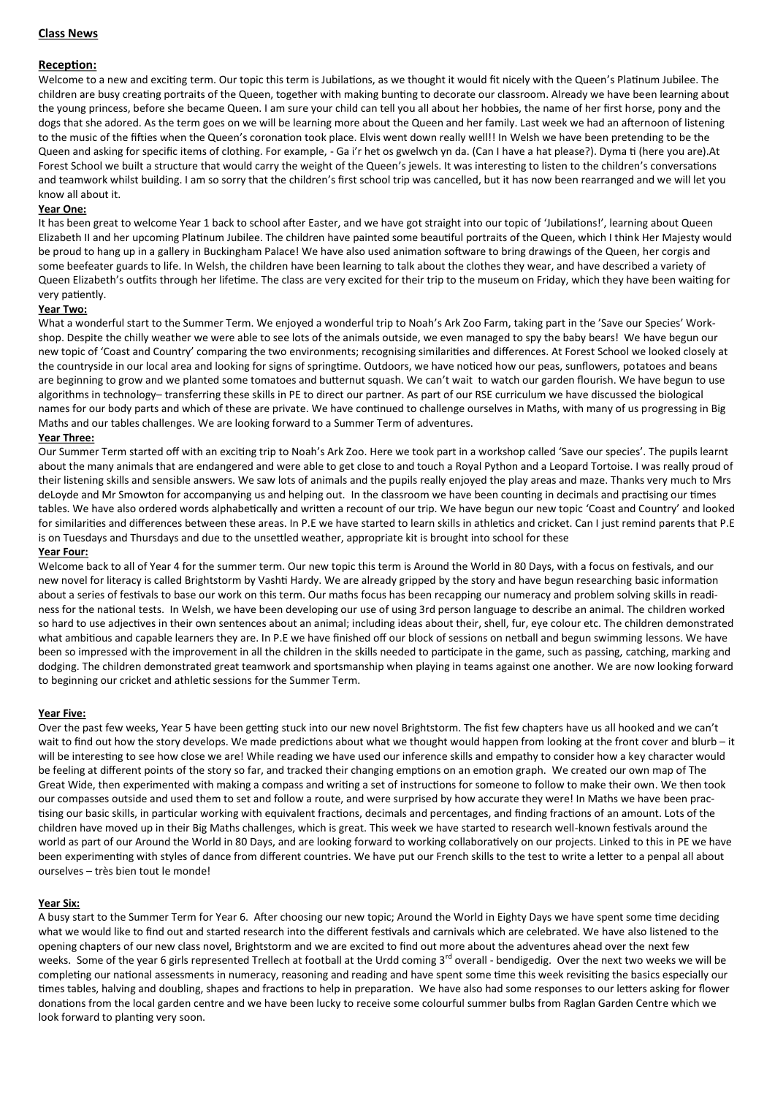# **Class News**

## **Reception:**

Welcome to a new and exciting term. Our topic this term is Jubilations, as we thought it would fit nicely with the Queen's Platinum Jubilee. The children are busy creating portraits of the Queen, together with making bunting to decorate our classroom. Already we have been learning about the young princess, before she became Queen. I am sure your child can tell you all about her hobbies, the name of her first horse, pony and the dogs that she adored. As the term goes on we will be learning more about the Queen and her family. Last week we had an afternoon of listening to the music of the fifties when the Queen's coronation took place. Elvis went down really well!! In Welsh we have been pretending to be the Queen and asking for specific items of clothing. For example, - Ga i'r het os gwelwch yn da. (Can I have a hat please?). Dyma ti (here you are).At Forest School we built a structure that would carry the weight of the Queen's jewels. It was interesting to listen to the children's conversations and teamwork whilst building. I am so sorry that the children's first school trip was cancelled, but it has now been rearranged and we will let you know all about it.

#### **Year One:**

It has been great to welcome Year 1 back to school after Easter, and we have got straight into our topic of 'Jubilations!', learning about Queen Elizabeth II and her upcoming Platinum Jubilee. The children have painted some beautiful portraits of the Queen, which I think Her Majesty would be proud to hang up in a gallery in Buckingham Palace! We have also used animation software to bring drawings of the Queen, her corgis and some beefeater guards to life. In Welsh, the children have been learning to talk about the clothes they wear, and have described a variety of Queen Elizabeth's outfits through her lifetime. The class are very excited for their trip to the museum on Friday, which they have been waiting for very patiently.

## **Year Two:**

What a wonderful start to the Summer Term. We enjoyed a wonderful trip to Noah's Ark Zoo Farm, taking part in the 'Save our Species' Workshop. Despite the chilly weather we were able to see lots of the animals outside, we even managed to spy the baby bears! We have begun our new topic of 'Coast and Country' comparing the two environments; recognising similarities and differences. At Forest School we looked closely at the countryside in our local area and looking for signs of springtime. Outdoors, we have noticed how our peas, sunflowers, potatoes and beans are beginning to grow and we planted some tomatoes and butternut squash. We can't wait to watch our garden flourish. We have begun to use algorithms in technology– transferring these skills in PE to direct our partner. As part of our RSE curriculum we have discussed the biological names for our body parts and which of these are private. We have continued to challenge ourselves in Maths, with many of us progressing in Big Maths and our tables challenges. We are looking forward to a Summer Term of adventures.

#### **Year Three:**

Our Summer Term started off with an exciting trip to Noah's Ark Zoo. Here we took part in a workshop called 'Save our species'. The pupils learnt about the many animals that are endangered and were able to get close to and touch a Royal Python and a Leopard Tortoise. I was really proud of their listening skills and sensible answers. We saw lots of animals and the pupils really enjoyed the play areas and maze. Thanks very much to Mrs deLoyde and Mr Smowton for accompanying us and helping out. In the classroom we have been counting in decimals and practising our times tables. We have also ordered words alphabetically and written a recount of our trip. We have begun our new topic 'Coast and Country' and looked for similarities and differences between these areas. In P.E we have started to learn skills in athletics and cricket. Can I just remind parents that P.E is on Tuesdays and Thursdays and due to the unsettled weather, appropriate kit is brought into school for these

#### **Year Four:**

Welcome back to all of Year 4 for the summer term. Our new topic this term is Around the World in 80 Days, with a focus on festivals, and our new novel for literacy is called Brightstorm by Vashti Hardy. We are already gripped by the story and have begun researching basic information about a series of festivals to base our work on this term. Our maths focus has been recapping our numeracy and problem solving skills in readiness for the national tests. In Welsh, we have been developing our use of using 3rd person language to describe an animal. The children worked so hard to use adjectives in their own sentences about an animal; including ideas about their, shell, fur, eye colour etc. The children demonstrated what ambitious and capable learners they are. In P.E we have finished off our block of sessions on netball and begun swimming lessons. We have been so impressed with the improvement in all the children in the skills needed to participate in the game, such as passing, catching, marking and dodging. The children demonstrated great teamwork and sportsmanship when playing in teams against one another. We are now looking forward to beginning our cricket and athletic sessions for the Summer Term.

#### **Year Five:**

Over the past few weeks, Year 5 have been getting stuck into our new novel Brightstorm. The fist few chapters have us all hooked and we can't wait to find out how the story develops. We made predictions about what we thought would happen from looking at the front cover and blurb – it will be interesting to see how close we are! While reading we have used our inference skills and empathy to consider how a key character would be feeling at different points of the story so far, and tracked their changing emptions on an emotion graph. We created our own map of The Great Wide, then experimented with making a compass and writing a set of instructions for someone to follow to make their own. We then took our compasses outside and used them to set and follow a route, and were surprised by how accurate they were! In Maths we have been practising our basic skills, in particular working with equivalent fractions, decimals and percentages, and finding fractions of an amount. Lots of the children have moved up in their Big Maths challenges, which is great. This week we have started to research well-known festivals around the world as part of our Around the World in 80 Days, and are looking forward to working collaboratively on our projects. Linked to this in PE we have been experimenting with styles of dance from different countries. We have put our French skills to the test to write a letter to a penpal all about ourselves – très bien tout le monde!

#### **Year Six:**

A busy start to the Summer Term for Year 6. After choosing our new topic; Around the World in Eighty Days we have spent some time deciding what we would like to find out and started research into the different festivals and carnivals which are celebrated. We have also listened to the opening chapters of our new class novel, Brightstorm and we are excited to find out more about the adventures ahead over the next few weeks. Some of the year 6 girls represented Trellech at football at the Urdd coming 3<sup>rd</sup> overall - bendigedig. Over the next two weeks we will be completing our national assessments in numeracy, reasoning and reading and have spent some time this week revisiting the basics especially our times tables, halving and doubling, shapes and fractions to help in preparation. We have also had some responses to our letters asking for flower donations from the local garden centre and we have been lucky to receive some colourful summer bulbs from Raglan Garden Centre which we look forward to planting very soon.